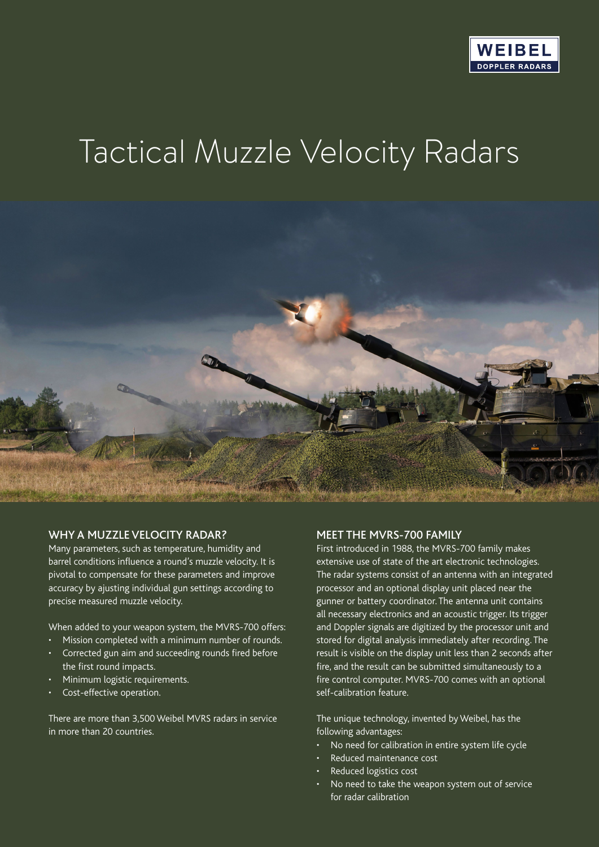

# Tactical Muzzle Velocity Radars



#### WHY A MUZZLE VELOCITY RADAR?

Many parameters, such as temperature, humidity and barrel conditions influence a round's muzzle velocity. It is pivotal to compensate for these parameters and improve accuracy by ajusting individual gun settings according to precise measured muzzle velocity.

When added to your weapon system, the MVRS-700 offers:

- Mission completed with a minimum number of rounds.
- Corrected gun aim and succeeding rounds fired before the first round impacts.
- Minimum logistic requirements.
- Cost-effective operation.

There are more than 3,500 Weibel MVRS radars in service in more than 20 countries.

#### MEET THE MVRS-700 FAMILY

First introduced in 1988, the MVRS-700 family makes extensive use of state of the art electronic technologies. The radar systems consist of an antenna with an integrated processor and an optional display unit placed near the gunner or battery coordinator. The antenna unit contains all necessary electronics and an acoustic trigger. Its trigger and Doppler signals are digitized by the processor unit and stored for digital analysis immediately after recording. The result is visible on the display unit less than 2 seconds after fire, and the result can be submitted simultaneously to a fire control computer. MVRS-700 comes with an optional self-calibration feature.

The unique technology, invented by Weibel, has the following advantages:

- No need for calibration in entire system life cycle
- Reduced maintenance cost
- Reduced logistics cost
- No need to take the weapon system out of service for radar calibration